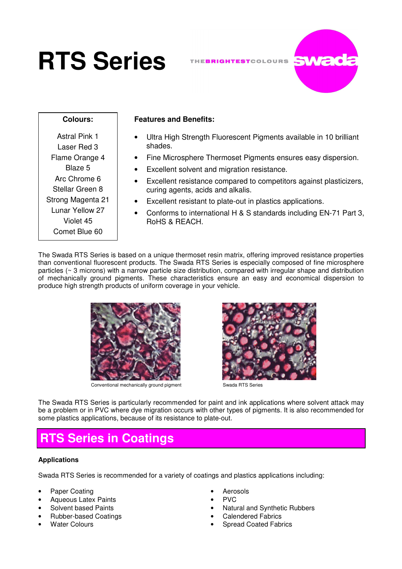# **RTS Series**



## **Colours:**

## Astral Pink 1 Laser Red 3 Flame Orange 4 Blaze 5 Arc Chrome 6 Stellar Green 8 Strong Magenta 21 Lunar Yellow 27 Violet 45 Comet Blue 60

## **Features and Benefits:**

- Ultra High Strength Fluorescent Pigments available in 10 brilliant shades.
- Fine Microsphere Thermoset Pigments ensures easy dispersion.
- Excellent solvent and migration resistance.
- Excellent resistance compared to competitors against plasticizers, curing agents, acids and alkalis.
- Excellent resistant to plate-out in plastics applications.
- Conforms to international H & S standards including EN-71 Part 3, RoHS & REACH.

The Swada RTS Series is based on a unique thermoset resin matrix, offering improved resistance properties than conventional fluorescent products. The Swada RTS Series is especially composed of fine microsphere particles (~ 3 microns) with a narrow particle size distribution, compared with irregular shape and distribution of mechanically ground pigments. These characteristics ensure an easy and economical dispersion to produce high strength products of uniform coverage in your vehicle.



Conventional mechanically ground pigment Swada RTS Series



The Swada RTS Series is particularly recommended for paint and ink applications where solvent attack may be a problem or in PVC where dye migration occurs with other types of pigments. It is also recommended for some plastics applications, because of its resistance to plate-out.

# **RTS Series in Coatings**

## **Applications**

Swada RTS Series is recommended for a variety of coatings and plastics applications including:

- Paper Coating
- Aqueous Latex Paints
- Solvent based Paints
- Rubber-based Coatings
- Water Colours
- **Aerosols**
- PVC
- Natural and Synthetic Rubbers
- Calendered Fabrics
- Spread Coated Fabrics